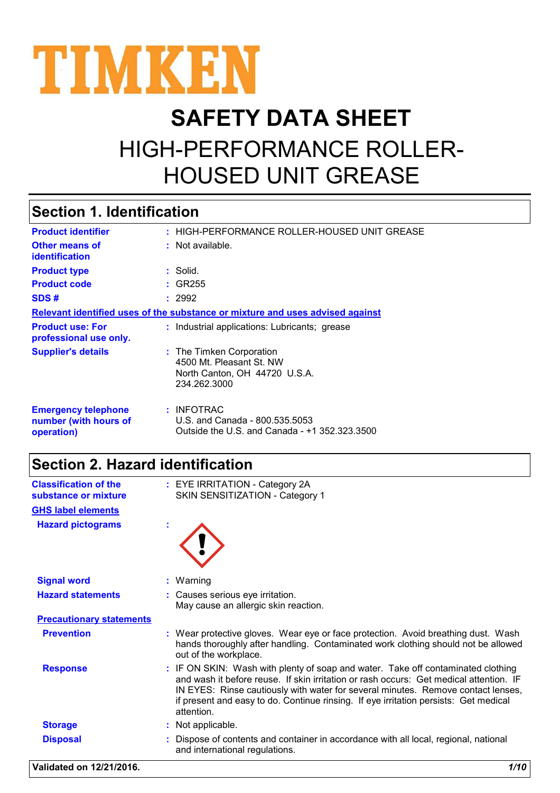

# **SAFETY DATA SHEET** HIGH-PERFORMANCE ROLLER-HOUSED UNIT GREASE

# **Section 1. Identification**

| <b>Product identifier</b>                                                     | : HIGH-PERFORMANCE ROLLER-HOUSED UNIT GREASE                                                          |  |  |
|-------------------------------------------------------------------------------|-------------------------------------------------------------------------------------------------------|--|--|
| <b>Other means of</b><br>identification                                       | : Not available.                                                                                      |  |  |
| <b>Product type</b>                                                           | : Solid.                                                                                              |  |  |
| <b>Product code</b>                                                           | $:$ GR255                                                                                             |  |  |
| SDS#                                                                          | : 2992                                                                                                |  |  |
| Relevant identified uses of the substance or mixture and uses advised against |                                                                                                       |  |  |
| <b>Product use: For</b><br>professional use only.                             | : Industrial applications: Lubricants; grease                                                         |  |  |
| <b>Supplier's details</b>                                                     | : The Timken Corporation<br>4500 Mt. Pleasant St. NW<br>North Canton, OH 44720 U.S.A.<br>234.262.3000 |  |  |
| <b>Emergency telephone</b><br>number (with hours of<br>operation)             | $:$ INFOTRAC<br>U.S. and Canada - 800.535.5053<br>Outside the U.S. and Canada - +1 352.323.3500       |  |  |

# **Section 2. Hazard identification**

| <b>Classification of the</b><br>substance or mixture | : EYE IRRITATION - Category 2A<br>SKIN SENSITIZATION - Category 1                                                                                                                                                                                                                                                                                                    |
|------------------------------------------------------|----------------------------------------------------------------------------------------------------------------------------------------------------------------------------------------------------------------------------------------------------------------------------------------------------------------------------------------------------------------------|
| <b>GHS label elements</b>                            |                                                                                                                                                                                                                                                                                                                                                                      |
| <b>Hazard pictograms</b>                             |                                                                                                                                                                                                                                                                                                                                                                      |
| <b>Signal word</b>                                   | : Warning                                                                                                                                                                                                                                                                                                                                                            |
| <b>Hazard statements</b>                             | : Causes serious eye irritation.<br>May cause an allergic skin reaction.                                                                                                                                                                                                                                                                                             |
| <b>Precautionary statements</b>                      |                                                                                                                                                                                                                                                                                                                                                                      |
| <b>Prevention</b>                                    | : Wear protective gloves. Wear eye or face protection. Avoid breathing dust. Wash<br>hands thoroughly after handling. Contaminated work clothing should not be allowed<br>out of the workplace.                                                                                                                                                                      |
| <b>Response</b>                                      | : IF ON SKIN: Wash with plenty of soap and water. Take off contaminated clothing<br>and wash it before reuse. If skin irritation or rash occurs: Get medical attention. IF<br>IN EYES: Rinse cautiously with water for several minutes. Remove contact lenses,<br>if present and easy to do. Continue rinsing. If eye irritation persists: Get medical<br>attention. |
| <b>Storage</b>                                       | : Not applicable.                                                                                                                                                                                                                                                                                                                                                    |
| <b>Disposal</b>                                      | Dispose of contents and container in accordance with all local, regional, national<br>and international regulations.                                                                                                                                                                                                                                                 |

**Validated on 12/21/2016.** *1/10*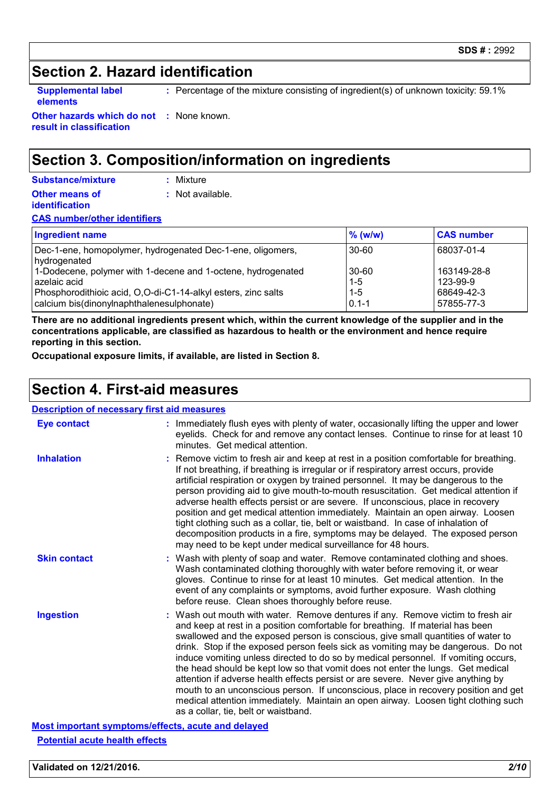### **Section 2. Hazard identification**

**elements**

**Supplemental label** Percentage of the mixture consisting of ingredient(s) of unknown toxicity: 59.1% **:**

**Other hazards which do not :** None known. **result in classification**

### **Section 3. Composition/information on ingredients**

| Substance/mixture     | : Mixture        |
|-----------------------|------------------|
| <b>Other means of</b> | : Not available. |
| <i>identification</i> |                  |

#### **CAS number/other identifiers**

| <b>Ingredient name</b>                                                                                                                                                                     | $%$ (w/w)                                | <b>CAS number</b>                                   |
|--------------------------------------------------------------------------------------------------------------------------------------------------------------------------------------------|------------------------------------------|-----------------------------------------------------|
| Dec-1-ene, homopolymer, hydrogenated Dec-1-ene, oligomers,<br>hydrogenated                                                                                                                 | 30-60                                    | 68037-01-4                                          |
| 1-Dodecene, polymer with 1-decene and 1-octene, hydrogenated<br>azelaic acid<br>Phosphorodithioic acid, O,O-di-C1-14-alkyl esters, zinc salts<br>calcium bis(dinonylnaphthalenesulphonate) | 30-60<br>$1 - 5$<br>$1 - 5$<br>$0.1 - 1$ | 163149-28-8<br>123-99-9<br>68649-42-3<br>57855-77-3 |

**There are no additional ingredients present which, within the current knowledge of the supplier and in the concentrations applicable, are classified as hazardous to health or the environment and hence require reporting in this section.**

**Occupational exposure limits, if available, are listed in Section 8.**

### **Section 4. First-aid measures**

#### **Description of necessary first aid measures**

| <b>Eye contact</b>  | : Immediately flush eyes with plenty of water, occasionally lifting the upper and lower<br>eyelids. Check for and remove any contact lenses. Continue to rinse for at least 10<br>minutes. Get medical attention.                                                                                                                                                                                                                                                                                                                                                                                                                                                                                                                                                                                                            |
|---------------------|------------------------------------------------------------------------------------------------------------------------------------------------------------------------------------------------------------------------------------------------------------------------------------------------------------------------------------------------------------------------------------------------------------------------------------------------------------------------------------------------------------------------------------------------------------------------------------------------------------------------------------------------------------------------------------------------------------------------------------------------------------------------------------------------------------------------------|
| <b>Inhalation</b>   | Remove victim to fresh air and keep at rest in a position comfortable for breathing.<br>If not breathing, if breathing is irregular or if respiratory arrest occurs, provide<br>artificial respiration or oxygen by trained personnel. It may be dangerous to the<br>person providing aid to give mouth-to-mouth resuscitation. Get medical attention if<br>adverse health effects persist or are severe. If unconscious, place in recovery<br>position and get medical attention immediately. Maintain an open airway. Loosen<br>tight clothing such as a collar, tie, belt or waistband. In case of inhalation of<br>decomposition products in a fire, symptoms may be delayed. The exposed person<br>may need to be kept under medical surveillance for 48 hours.                                                         |
| <b>Skin contact</b> | : Wash with plenty of soap and water. Remove contaminated clothing and shoes.<br>Wash contaminated clothing thoroughly with water before removing it, or wear<br>gloves. Continue to rinse for at least 10 minutes. Get medical attention. In the<br>event of any complaints or symptoms, avoid further exposure. Wash clothing<br>before reuse. Clean shoes thoroughly before reuse.                                                                                                                                                                                                                                                                                                                                                                                                                                        |
| <b>Ingestion</b>    | : Wash out mouth with water. Remove dentures if any. Remove victim to fresh air<br>and keep at rest in a position comfortable for breathing. If material has been<br>swallowed and the exposed person is conscious, give small quantities of water to<br>drink. Stop if the exposed person feels sick as vomiting may be dangerous. Do not<br>induce vomiting unless directed to do so by medical personnel. If vomiting occurs,<br>the head should be kept low so that vomit does not enter the lungs. Get medical<br>attention if adverse health effects persist or are severe. Never give anything by<br>mouth to an unconscious person. If unconscious, place in recovery position and get<br>medical attention immediately. Maintain an open airway. Loosen tight clothing such<br>as a collar, tie, belt or waistband. |

**Most important symptoms/effects, acute and delayed Potential acute health effects**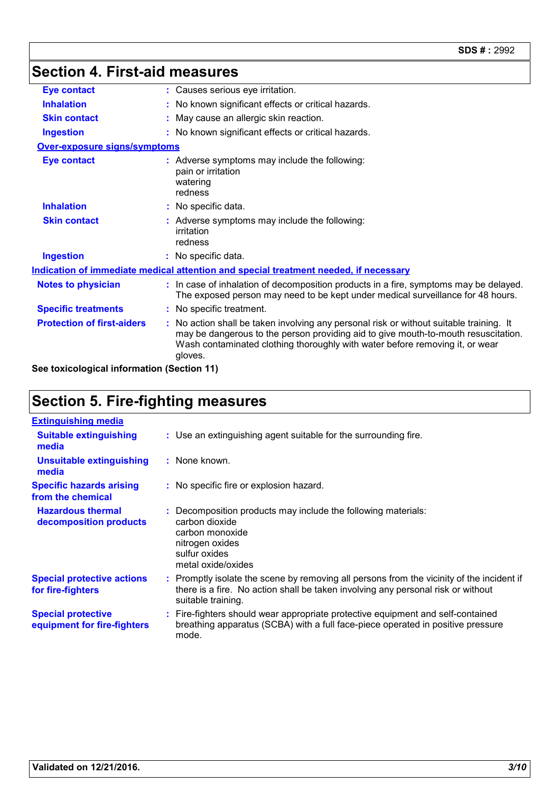# **Section 4. First-aid measures**

| <b>Eye contact</b>                  | : Causes serious eye irritation.                                                                                                                                                                                                                                         |
|-------------------------------------|--------------------------------------------------------------------------------------------------------------------------------------------------------------------------------------------------------------------------------------------------------------------------|
| <b>Inhalation</b>                   | : No known significant effects or critical hazards.                                                                                                                                                                                                                      |
| <b>Skin contact</b>                 | : May cause an allergic skin reaction.                                                                                                                                                                                                                                   |
| <b>Ingestion</b>                    | : No known significant effects or critical hazards.                                                                                                                                                                                                                      |
| <b>Over-exposure signs/symptoms</b> |                                                                                                                                                                                                                                                                          |
| <b>Eye contact</b>                  | : Adverse symptoms may include the following:<br>pain or irritation<br>watering<br>redness                                                                                                                                                                               |
| <b>Inhalation</b>                   | : No specific data.                                                                                                                                                                                                                                                      |
| <b>Skin contact</b>                 | : Adverse symptoms may include the following:<br>irritation<br>redness                                                                                                                                                                                                   |
| <b>Ingestion</b>                    | : No specific data.                                                                                                                                                                                                                                                      |
|                                     | Indication of immediate medical attention and special treatment needed, if necessary                                                                                                                                                                                     |
| <b>Notes to physician</b>           | : In case of inhalation of decomposition products in a fire, symptoms may be delayed.<br>The exposed person may need to be kept under medical surveillance for 48 hours.                                                                                                 |
| <b>Specific treatments</b>          | : No specific treatment.                                                                                                                                                                                                                                                 |
| <b>Protection of first-aiders</b>   | : No action shall be taken involving any personal risk or without suitable training. It<br>may be dangerous to the person providing aid to give mouth-to-mouth resuscitation.<br>Wash contaminated clothing thoroughly with water before removing it, or wear<br>gloves. |

**See toxicological information (Section 11)**

# **Section 5. Fire-fighting measures**

| <b>Extinguishing media</b>                               |                                                                                                                                                                                                     |
|----------------------------------------------------------|-----------------------------------------------------------------------------------------------------------------------------------------------------------------------------------------------------|
| <b>Suitable extinguishing</b><br>media                   | : Use an extinguishing agent suitable for the surrounding fire.                                                                                                                                     |
| <b>Unsuitable extinguishing</b><br>media                 | : None known.                                                                                                                                                                                       |
| <b>Specific hazards arising</b><br>from the chemical     | : No specific fire or explosion hazard.                                                                                                                                                             |
| <b>Hazardous thermal</b><br>decomposition products       | : Decomposition products may include the following materials:<br>carbon dioxide<br>carbon monoxide<br>nitrogen oxides<br>sulfur oxides<br>metal oxide/oxides                                        |
| <b>Special protective actions</b><br>for fire-fighters   | : Promptly isolate the scene by removing all persons from the vicinity of the incident if<br>there is a fire. No action shall be taken involving any personal risk or without<br>suitable training. |
| <b>Special protective</b><br>equipment for fire-fighters | : Fire-fighters should wear appropriate protective equipment and self-contained<br>breathing apparatus (SCBA) with a full face-piece operated in positive pressure<br>mode.                         |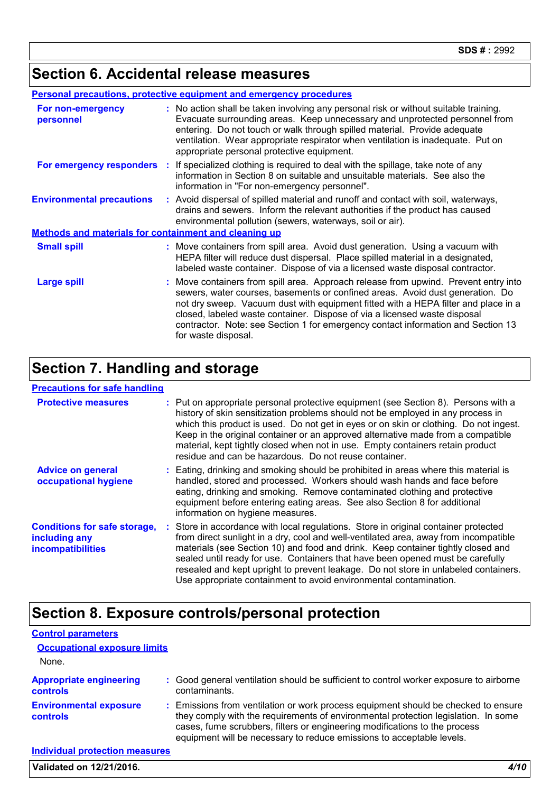## **Section 6. Accidental release measures**

| <b>Personal precautions, protective equipment and emergency procedures</b> |  |                                                                                                                                                                                                                                                                                                                                                                                                                                                    |  |  |
|----------------------------------------------------------------------------|--|----------------------------------------------------------------------------------------------------------------------------------------------------------------------------------------------------------------------------------------------------------------------------------------------------------------------------------------------------------------------------------------------------------------------------------------------------|--|--|
| For non-emergency<br>personnel                                             |  | : No action shall be taken involving any personal risk or without suitable training.<br>Evacuate surrounding areas. Keep unnecessary and unprotected personnel from<br>entering. Do not touch or walk through spilled material. Provide adequate<br>ventilation. Wear appropriate respirator when ventilation is inadequate. Put on<br>appropriate personal protective equipment.                                                                  |  |  |
| For emergency responders                                                   |  | : If specialized clothing is required to deal with the spillage, take note of any<br>information in Section 8 on suitable and unsuitable materials. See also the<br>information in "For non-emergency personnel".                                                                                                                                                                                                                                  |  |  |
| <b>Environmental precautions</b>                                           |  | : Avoid dispersal of spilled material and runoff and contact with soil, waterways,<br>drains and sewers. Inform the relevant authorities if the product has caused<br>environmental pollution (sewers, waterways, soil or air).                                                                                                                                                                                                                    |  |  |
| Methods and materials for containment and cleaning up                      |  |                                                                                                                                                                                                                                                                                                                                                                                                                                                    |  |  |
| <b>Small spill</b>                                                         |  | : Move containers from spill area. Avoid dust generation. Using a vacuum with<br>HEPA filter will reduce dust dispersal. Place spilled material in a designated,<br>labeled waste container. Dispose of via a licensed waste disposal contractor.                                                                                                                                                                                                  |  |  |
| <b>Large spill</b>                                                         |  | : Move containers from spill area. Approach release from upwind. Prevent entry into<br>sewers, water courses, basements or confined areas. Avoid dust generation. Do<br>not dry sweep. Vacuum dust with equipment fitted with a HEPA filter and place in a<br>closed, labeled waste container. Dispose of via a licensed waste disposal<br>contractor. Note: see Section 1 for emergency contact information and Section 13<br>for waste disposal. |  |  |

# **Section 7. Handling and storage**

#### **Precautions for safe handling**

| <b>Protective measures</b>                                                       | : Put on appropriate personal protective equipment (see Section 8). Persons with a<br>history of skin sensitization problems should not be employed in any process in<br>which this product is used. Do not get in eyes or on skin or clothing. Do not ingest.<br>Keep in the original container or an approved alternative made from a compatible<br>material, kept tightly closed when not in use. Empty containers retain product<br>residue and can be hazardous. Do not reuse container.                 |
|----------------------------------------------------------------------------------|---------------------------------------------------------------------------------------------------------------------------------------------------------------------------------------------------------------------------------------------------------------------------------------------------------------------------------------------------------------------------------------------------------------------------------------------------------------------------------------------------------------|
| <b>Advice on general</b><br>occupational hygiene                                 | : Eating, drinking and smoking should be prohibited in areas where this material is<br>handled, stored and processed. Workers should wash hands and face before<br>eating, drinking and smoking. Remove contaminated clothing and protective<br>equipment before entering eating areas. See also Section 8 for additional<br>information on hygiene measures.                                                                                                                                                 |
| <b>Conditions for safe storage,</b><br>including any<br><b>incompatibilities</b> | : Store in accordance with local regulations. Store in original container protected<br>from direct sunlight in a dry, cool and well-ventilated area, away from incompatible<br>materials (see Section 10) and food and drink. Keep container tightly closed and<br>sealed until ready for use. Containers that have been opened must be carefully<br>resealed and kept upright to prevent leakage. Do not store in unlabeled containers.<br>Use appropriate containment to avoid environmental contamination. |

# **Section 8. Exposure controls/personal protection**

| <b>Control parameters</b>                         |                                                                                                                                                                                                                                                                                                                                 |
|---------------------------------------------------|---------------------------------------------------------------------------------------------------------------------------------------------------------------------------------------------------------------------------------------------------------------------------------------------------------------------------------|
| <b>Occupational exposure limits</b>               |                                                                                                                                                                                                                                                                                                                                 |
| None.                                             |                                                                                                                                                                                                                                                                                                                                 |
| <b>Appropriate engineering</b><br><b>controls</b> | : Good general ventilation should be sufficient to control worker exposure to airborne<br>contaminants.                                                                                                                                                                                                                         |
| <b>Environmental exposure</b><br><b>controls</b>  | : Emissions from ventilation or work process equipment should be checked to ensure<br>they comply with the requirements of environmental protection legislation. In some<br>cases, fume scrubbers, filters or engineering modifications to the process<br>equipment will be necessary to reduce emissions to acceptable levels. |
| <b>Individual protection measures</b>             |                                                                                                                                                                                                                                                                                                                                 |
| Validated on 12/21/2016.                          |                                                                                                                                                                                                                                                                                                                                 |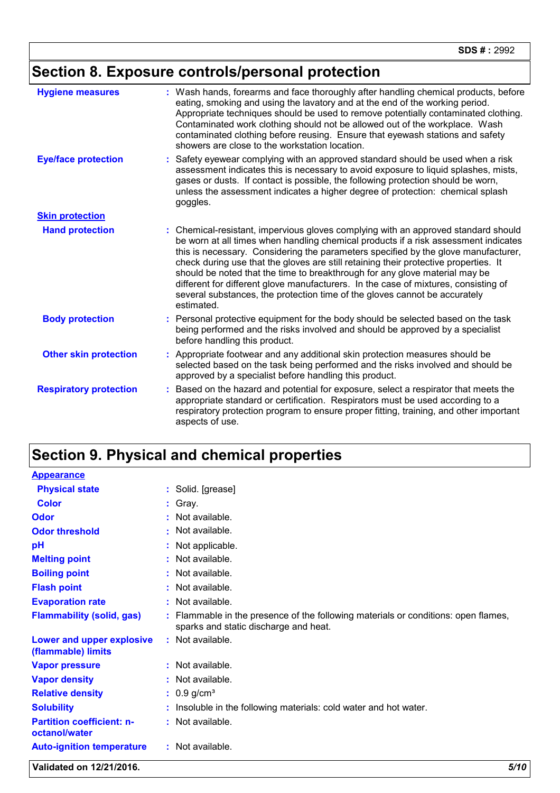# **Section 8. Exposure controls/personal protection**

| <b>Hygiene measures</b>       | Wash hands, forearms and face thoroughly after handling chemical products, before<br>eating, smoking and using the lavatory and at the end of the working period.<br>Appropriate techniques should be used to remove potentially contaminated clothing.<br>Contaminated work clothing should not be allowed out of the workplace. Wash<br>contaminated clothing before reusing. Ensure that eyewash stations and safety<br>showers are close to the workstation location.                                                                                                                                               |
|-------------------------------|-------------------------------------------------------------------------------------------------------------------------------------------------------------------------------------------------------------------------------------------------------------------------------------------------------------------------------------------------------------------------------------------------------------------------------------------------------------------------------------------------------------------------------------------------------------------------------------------------------------------------|
| <b>Eye/face protection</b>    | Safety eyewear complying with an approved standard should be used when a risk<br>assessment indicates this is necessary to avoid exposure to liquid splashes, mists,<br>gases or dusts. If contact is possible, the following protection should be worn,<br>unless the assessment indicates a higher degree of protection: chemical splash<br>goggles.                                                                                                                                                                                                                                                                  |
| <b>Skin protection</b>        |                                                                                                                                                                                                                                                                                                                                                                                                                                                                                                                                                                                                                         |
| <b>Hand protection</b>        | Chemical-resistant, impervious gloves complying with an approved standard should<br>be worn at all times when handling chemical products if a risk assessment indicates<br>this is necessary. Considering the parameters specified by the glove manufacturer,<br>check during use that the gloves are still retaining their protective properties. It<br>should be noted that the time to breakthrough for any glove material may be<br>different for different glove manufacturers. In the case of mixtures, consisting of<br>several substances, the protection time of the gloves cannot be accurately<br>estimated. |
| <b>Body protection</b>        | Personal protective equipment for the body should be selected based on the task<br>being performed and the risks involved and should be approved by a specialist<br>before handling this product.                                                                                                                                                                                                                                                                                                                                                                                                                       |
| <b>Other skin protection</b>  | Appropriate footwear and any additional skin protection measures should be<br>selected based on the task being performed and the risks involved and should be<br>approved by a specialist before handling this product.                                                                                                                                                                                                                                                                                                                                                                                                 |
| <b>Respiratory protection</b> | Based on the hazard and potential for exposure, select a respirator that meets the<br>appropriate standard or certification. Respirators must be used according to a<br>respiratory protection program to ensure proper fitting, training, and other important<br>aspects of use.                                                                                                                                                                                                                                                                                                                                       |

# **Section 9. Physical and chemical properties**

| <b>Appearance</b>                                 |                                                                                                                             |
|---------------------------------------------------|-----------------------------------------------------------------------------------------------------------------------------|
| <b>Physical state</b>                             | : Solid. [grease]                                                                                                           |
| Color                                             | : Gray.                                                                                                                     |
| Odor                                              | $:$ Not available.                                                                                                          |
| <b>Odor threshold</b>                             | : Not available.                                                                                                            |
| pH                                                | : Not applicable.                                                                                                           |
| <b>Melting point</b>                              | : Not available.                                                                                                            |
| <b>Boiling point</b>                              | : Not available.                                                                                                            |
| <b>Flash point</b>                                | : Not available.                                                                                                            |
| <b>Evaporation rate</b>                           | : Not available.                                                                                                            |
| <b>Flammability (solid, gas)</b>                  | : Flammable in the presence of the following materials or conditions: open flames,<br>sparks and static discharge and heat. |
| Lower and upper explosive<br>(flammable) limits   | $:$ Not available.                                                                                                          |
| <b>Vapor pressure</b>                             | $:$ Not available.                                                                                                          |
| <b>Vapor density</b>                              | : Not available.                                                                                                            |
| <b>Relative density</b>                           | $: 0.9$ g/cm <sup>3</sup>                                                                                                   |
| <b>Solubility</b>                                 | : Insoluble in the following materials: cold water and hot water.                                                           |
| <b>Partition coefficient: n-</b><br>octanol/water | : Not available.                                                                                                            |
| <b>Auto-ignition temperature</b>                  | : Not available.                                                                                                            |

**Validated on 12/21/2016.** *5/10*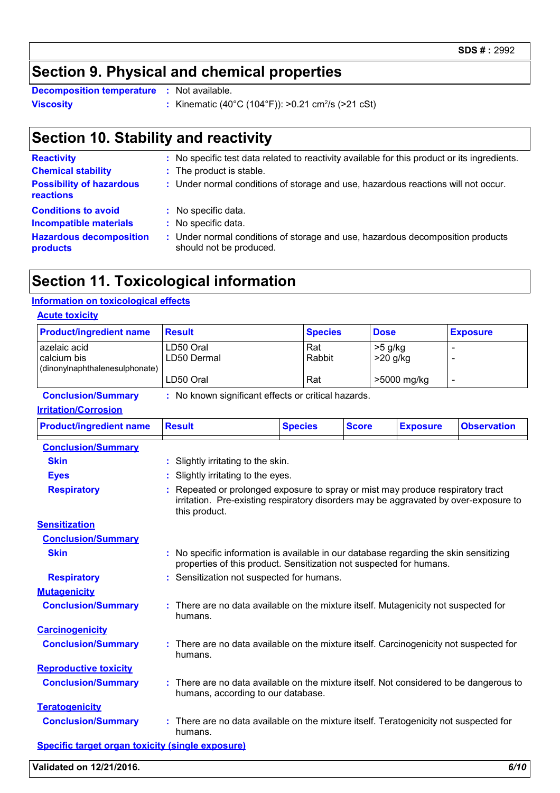## **Section 9. Physical and chemical properties**

**Viscosity** : Kinematic (40°C (104°F)): >0.21 cm<sup>2</sup>/s (>21 cSt) **Decomposition temperature :** Not available.

# **Section 10. Stability and reactivity**

| <b>Reactivity</b>                                   | : No specific test data related to reactivity available for this product or its ingredients.              |
|-----------------------------------------------------|-----------------------------------------------------------------------------------------------------------|
| <b>Chemical stability</b>                           | : The product is stable.                                                                                  |
| <b>Possibility of hazardous</b><br><b>reactions</b> | : Under normal conditions of storage and use, hazardous reactions will not occur.                         |
| <b>Conditions to avoid</b>                          | : No specific data.                                                                                       |
| <b>Incompatible materials</b>                       | : No specific data.                                                                                       |
| <b>Hazardous decomposition</b><br>products          | : Under normal conditions of storage and use, hazardous decomposition products<br>should not be produced. |

## **Section 11. Toxicological information**

#### **Information on toxicological effects**

| <b>Product/ingredient name</b>                                | <b>Result</b> |                                                                                                                                                                                        |                | <b>Species</b> |              | <b>Dose</b>             |                 | <b>Exposure</b>    |
|---------------------------------------------------------------|---------------|----------------------------------------------------------------------------------------------------------------------------------------------------------------------------------------|----------------|----------------|--------------|-------------------------|-----------------|--------------------|
| azelaic acid<br>calcium bis<br>(dinonylnaphthalenesulphonate) |               | LD50 Oral<br>LD50 Dermal                                                                                                                                                               | Rat            | Rabbit         |              | $>5$ g/kg<br>$>20$ g/kg |                 |                    |
|                                                               |               | LD50 Oral                                                                                                                                                                              | Rat            |                |              | >5000 mg/kg             |                 | $\blacksquare$     |
| <b>Conclusion/Summary</b>                                     |               | : No known significant effects or critical hazards.                                                                                                                                    |                |                |              |                         |                 |                    |
| <b>Irritation/Corrosion</b>                                   |               |                                                                                                                                                                                        |                |                |              |                         |                 |                    |
| <b>Product/ingredient name</b>                                | <b>Result</b> |                                                                                                                                                                                        | <b>Species</b> |                | <b>Score</b> |                         | <b>Exposure</b> | <b>Observation</b> |
| <b>Conclusion/Summary</b>                                     |               |                                                                                                                                                                                        |                |                |              |                         |                 |                    |
| <b>Skin</b>                                                   |               | Slightly irritating to the skin.                                                                                                                                                       |                |                |              |                         |                 |                    |
| <b>Eyes</b>                                                   | t.            | Slightly irritating to the eyes.                                                                                                                                                       |                |                |              |                         |                 |                    |
| <b>Respiratory</b>                                            |               | Repeated or prolonged exposure to spray or mist may produce respiratory tract<br>irritation. Pre-existing respiratory disorders may be aggravated by over-exposure to<br>this product. |                |                |              |                         |                 |                    |
| <b>Sensitization</b>                                          |               |                                                                                                                                                                                        |                |                |              |                         |                 |                    |
| <b>Conclusion/Summary</b>                                     |               |                                                                                                                                                                                        |                |                |              |                         |                 |                    |
| <b>Skin</b>                                                   |               | : No specific information is available in our database regarding the skin sensitizing<br>properties of this product. Sensitization not suspected for humans.                           |                |                |              |                         |                 |                    |
|                                                               |               | : Sensitization not suspected for humans.                                                                                                                                              |                |                |              |                         |                 |                    |
| <b>Respiratory</b>                                            |               |                                                                                                                                                                                        |                |                |              |                         |                 |                    |
| <b>Mutagenicity</b>                                           |               |                                                                                                                                                                                        |                |                |              |                         |                 |                    |
| <b>Conclusion/Summary</b>                                     |               | : There are no data available on the mixture itself. Mutagenicity not suspected for<br>humans.                                                                                         |                |                |              |                         |                 |                    |
| <b>Carcinogenicity</b>                                        |               |                                                                                                                                                                                        |                |                |              |                         |                 |                    |
| <b>Conclusion/Summary</b>                                     |               | There are no data available on the mixture itself. Carcinogenicity not suspected for<br>humans.                                                                                        |                |                |              |                         |                 |                    |
| <b>Reproductive toxicity</b>                                  |               |                                                                                                                                                                                        |                |                |              |                         |                 |                    |
| <b>Conclusion/Summary</b>                                     |               | There are no data available on the mixture itself. Not considered to be dangerous to<br>humans, according to our database.                                                             |                |                |              |                         |                 |                    |
| <b>Teratogenicity</b>                                         |               |                                                                                                                                                                                        |                |                |              |                         |                 |                    |
| <b>Conclusion/Summary</b>                                     |               | : There are no data available on the mixture itself. Teratogenicity not suspected for<br>humans.                                                                                       |                |                |              |                         |                 |                    |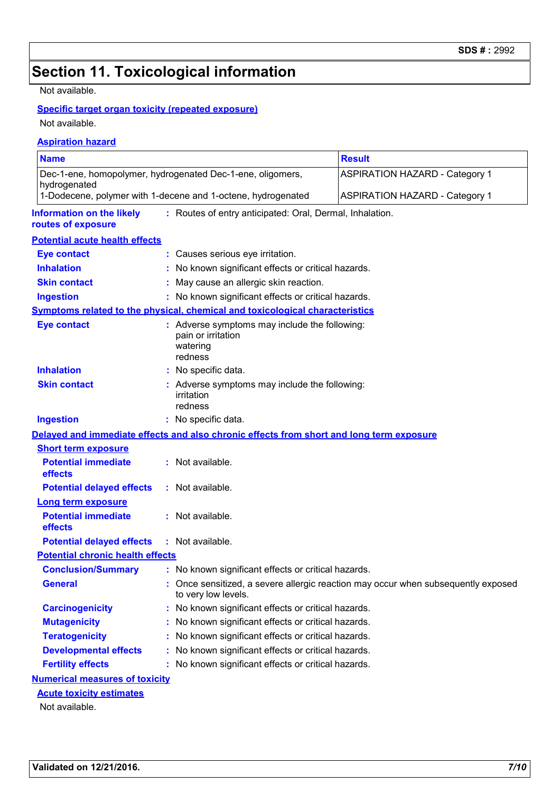# **Section 11. Toxicological information**

Not available.

#### **Specific target organ toxicity (repeated exposure)**

Not available.

#### **Aspiration hazard**

| <b>Name</b>                                                                |                                                                                            | <b>Result</b>                                                                     |  |  |  |
|----------------------------------------------------------------------------|--------------------------------------------------------------------------------------------|-----------------------------------------------------------------------------------|--|--|--|
| Dec-1-ene, homopolymer, hydrogenated Dec-1-ene, oligomers,<br>hydrogenated |                                                                                            | <b>ASPIRATION HAZARD - Category 1</b>                                             |  |  |  |
|                                                                            | 1-Dodecene, polymer with 1-decene and 1-octene, hydrogenated                               | <b>ASPIRATION HAZARD - Category 1</b>                                             |  |  |  |
| <b>Information on the likely</b><br>routes of exposure                     | : Routes of entry anticipated: Oral, Dermal, Inhalation.                                   |                                                                                   |  |  |  |
| <b>Potential acute health effects</b>                                      |                                                                                            |                                                                                   |  |  |  |
| <b>Eye contact</b>                                                         | : Causes serious eye irritation.                                                           |                                                                                   |  |  |  |
| <b>Inhalation</b>                                                          | : No known significant effects or critical hazards.                                        |                                                                                   |  |  |  |
| <b>Skin contact</b>                                                        | : May cause an allergic skin reaction.                                                     |                                                                                   |  |  |  |
| <b>Ingestion</b>                                                           | : No known significant effects or critical hazards.                                        |                                                                                   |  |  |  |
|                                                                            | Symptoms related to the physical, chemical and toxicological characteristics               |                                                                                   |  |  |  |
| <b>Eye contact</b>                                                         | : Adverse symptoms may include the following:<br>pain or irritation<br>watering<br>redness |                                                                                   |  |  |  |
| <b>Inhalation</b>                                                          | : No specific data.                                                                        |                                                                                   |  |  |  |
| <b>Skin contact</b>                                                        | : Adverse symptoms may include the following:<br><i>irritation</i><br>redness              |                                                                                   |  |  |  |
| <b>Ingestion</b>                                                           | : No specific data.                                                                        |                                                                                   |  |  |  |
|                                                                            | Delayed and immediate effects and also chronic effects from short and long term exposure   |                                                                                   |  |  |  |
| <b>Short term exposure</b>                                                 |                                                                                            |                                                                                   |  |  |  |
| <b>Potential immediate</b><br>effects                                      | : Not available.                                                                           |                                                                                   |  |  |  |
| <b>Potential delayed effects</b>                                           | : Not available.                                                                           |                                                                                   |  |  |  |
| <b>Long term exposure</b>                                                  |                                                                                            |                                                                                   |  |  |  |
| <b>Potential immediate</b><br>effects                                      | : Not available.                                                                           |                                                                                   |  |  |  |
| <b>Potential delayed effects</b>                                           | : Not available.                                                                           |                                                                                   |  |  |  |
| <b>Potential chronic health effects</b>                                    |                                                                                            |                                                                                   |  |  |  |
| <b>Conclusion/Summary</b>                                                  | : No known significant effects or critical hazards.                                        |                                                                                   |  |  |  |
| <b>General</b>                                                             | to very low levels.                                                                        | : Once sensitized, a severe allergic reaction may occur when subsequently exposed |  |  |  |
| <b>Carcinogenicity</b>                                                     | : No known significant effects or critical hazards.                                        |                                                                                   |  |  |  |
| <b>Mutagenicity</b>                                                        | : No known significant effects or critical hazards.                                        |                                                                                   |  |  |  |
| <b>Teratogenicity</b>                                                      | : No known significant effects or critical hazards.                                        |                                                                                   |  |  |  |
| <b>Developmental effects</b>                                               | : No known significant effects or critical hazards.                                        |                                                                                   |  |  |  |
| <b>Fertility effects</b>                                                   | : No known significant effects or critical hazards.                                        |                                                                                   |  |  |  |
| <b>Numerical measures of toxicity</b>                                      |                                                                                            |                                                                                   |  |  |  |
| <b>Acute toxicity estimates</b>                                            |                                                                                            |                                                                                   |  |  |  |
| Not available.                                                             |                                                                                            |                                                                                   |  |  |  |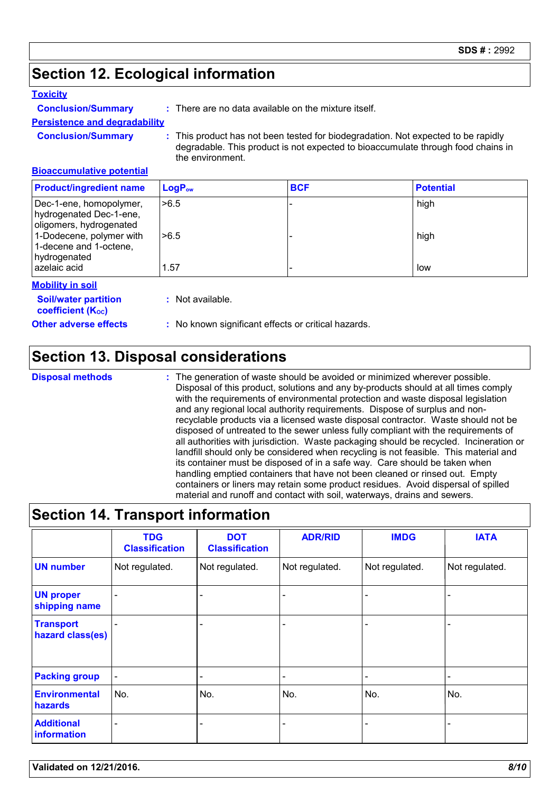# **Section 12. Ecological information**

#### **Toxicity**

**Conclusion/Summary :** There are no data available on the mixture itself.

**Persistence and degradability**

**Conclusion/Summary :** This product has not been tested for biodegradation. Not expected to be rapidly degradable. This product is not expected to bioaccumulate through food chains in the environment.

#### **Bioaccumulative potential**

| <b>Product/ingredient name</b>                                                | $\mathsf{LogP}_\mathsf{ow}$ | <b>BCF</b> | <b>Potential</b> |
|-------------------------------------------------------------------------------|-----------------------------|------------|------------------|
| Dec-1-ene, homopolymer,<br>hydrogenated Dec-1-ene,<br>oligomers, hydrogenated | >6.5                        |            | high             |
| 1-Dodecene, polymer with<br>1-decene and 1-octene,<br>hydrogenated            | >6.5                        |            | high             |
| azelaic acid                                                                  | 1.57                        |            | low              |

#### **Mobility in soil**

**Soil/water partition coefficient (Koc)** 

**:** Not available.

**Other adverse effects** : No known significant effects or critical hazards.

### **Section 13. Disposal considerations**

**Disposal methods :**

The generation of waste should be avoided or minimized wherever possible. Disposal of this product, solutions and any by-products should at all times comply with the requirements of environmental protection and waste disposal legislation and any regional local authority requirements. Dispose of surplus and nonrecyclable products via a licensed waste disposal contractor. Waste should not be disposed of untreated to the sewer unless fully compliant with the requirements of all authorities with jurisdiction. Waste packaging should be recycled. Incineration or landfill should only be considered when recycling is not feasible. This material and its container must be disposed of in a safe way. Care should be taken when handling emptied containers that have not been cleaned or rinsed out. Empty containers or liners may retain some product residues. Avoid dispersal of spilled material and runoff and contact with soil, waterways, drains and sewers.

# **Section 14. Transport information**

|                                      | <b>TDG</b><br><b>Classification</b> | <b>DOT</b><br><b>Classification</b> | <b>ADR/RID</b> | <b>IMDG</b>    | <b>IATA</b>    |
|--------------------------------------|-------------------------------------|-------------------------------------|----------------|----------------|----------------|
| <b>UN number</b>                     | Not regulated.                      | Not regulated.                      | Not regulated. | Not regulated. | Not regulated. |
| <b>UN proper</b><br>shipping name    |                                     | -                                   |                |                |                |
| <b>Transport</b><br>hazard class(es) |                                     | ٠                                   |                |                |                |
| <b>Packing group</b>                 | $\blacksquare$                      | $\overline{\phantom{a}}$            | -              |                |                |
| <b>Environmental</b><br>hazards      | No.                                 | No.                                 | No.            | No.            | No.            |
| <b>Additional</b><br>information     | $\overline{\phantom{0}}$            | $\overline{\phantom{0}}$            |                |                |                |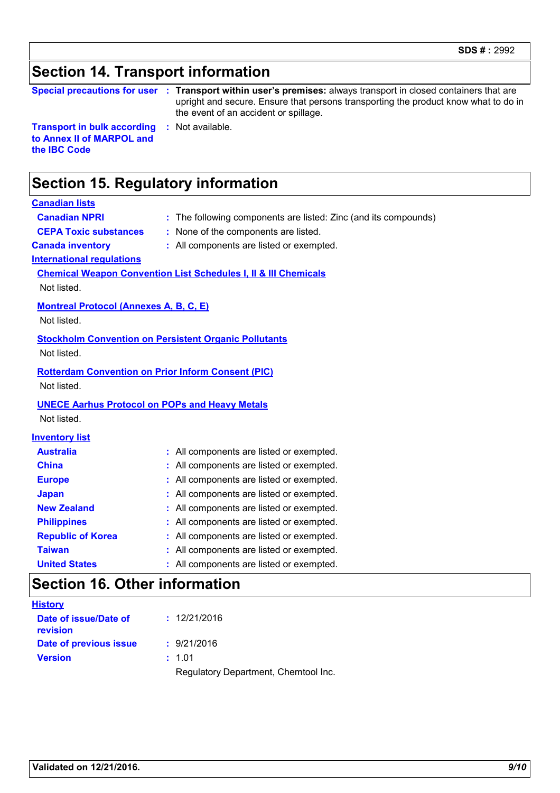# **Section 14. Transport information**

|  | <b>Special precautions for user</b> |  |
|--|-------------------------------------|--|
|--|-------------------------------------|--|

**Special precautions for user Transport within user's premises:** always transport in closed containers that are **:** upright and secure. Ensure that persons transporting the product know what to do in the event of an accident or spillage.

**Transport in bulk according to Annex II of MARPOL and the IBC Code**

**:** Not available.

# **Section 15. Regulatory information**

#### **Canadian lists**

**Canadian NPRI :** The following components are listed: Zinc (and its compounds)

- 
- **CEPA Toxic substances :** None of the components are listed.
- 
- **Canada inventory :** All components are listed or exempted.

**International regulations**

#### **Chemical Weapon Convention List Schedules I, II & III Chemicals**

Not listed.

**Montreal Protocol (Annexes A, B, C, E)**

Not listed.

#### **Stockholm Convention on Persistent Organic Pollutants**

Not listed.

#### **Rotterdam Convention on Prior Inform Consent (PIC)**

Not listed.

#### **UNECE Aarhus Protocol on POPs and Heavy Metals**

Not listed.

#### **Inventory list**

| <b>Australia</b>         | : All components are listed or exempted. |
|--------------------------|------------------------------------------|
| <b>China</b>             | : All components are listed or exempted. |
| <b>Europe</b>            | : All components are listed or exempted. |
| <b>Japan</b>             | : All components are listed or exempted. |
| <b>New Zealand</b>       | : All components are listed or exempted. |
| <b>Philippines</b>       | : All components are listed or exempted. |
| <b>Republic of Korea</b> | : All components are listed or exempted. |
| <b>Taiwan</b>            | : All components are listed or exempted. |
| <b>United States</b>     | : All components are listed or exempted. |

### **Section 16. Other information**

| <b>History</b>                    |                                      |
|-----------------------------------|--------------------------------------|
| Date of issue/Date of<br>revision | : 12/21/2016                         |
| Date of previous issue            | : 9/21/2016                          |
| <b>Version</b>                    | : 1.01                               |
|                                   | Regulatory Department, Chemtool Inc. |